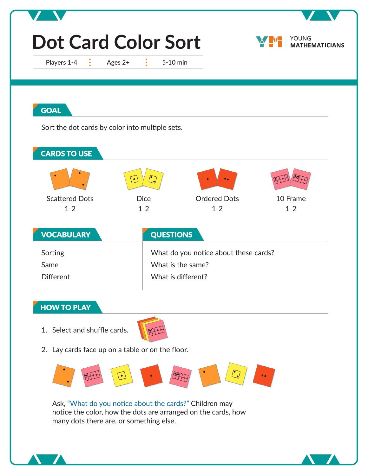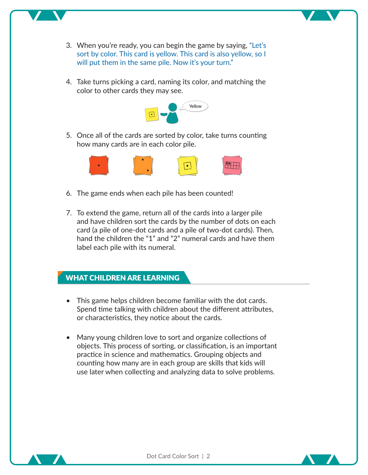- 3. When you're ready, you can begin the game by saying, "Let's sort by color. This card is yellow. This card is also yellow, so I will put them in the same pile. Now it's your turn."
- 4. Take turns picking a card, naming its color, and matching the color to other cards they may see.



5. Once all of the cards are sorted by color, take turns counting how many cards are in each color pile.



- 6. The game ends when each pile has been counted!
- 7. To extend the game, return all of the cards into a larger pile and have children sort the cards by the number of dots on each card (a pile of one-dot cards and a pile of two-dot cards). Then, hand the children the "1" and "2" numeral cards and have them label each pile with its numeral.

## **WHAT CHILDREN ARE LEARNING**

- This game helps children become familiar with the dot cards. Spend time talking with children about the different attributes, or characteristics, they notice about the cards.
- Many young children love to sort and organize collections of objects. This process of sorting, or classification, is an important practice in science and mathematics. Grouping objects and counting how many are in each group are skills that kids will use later when collecting and analyzing data to solve problems.



Dot Card Color Sort | 2